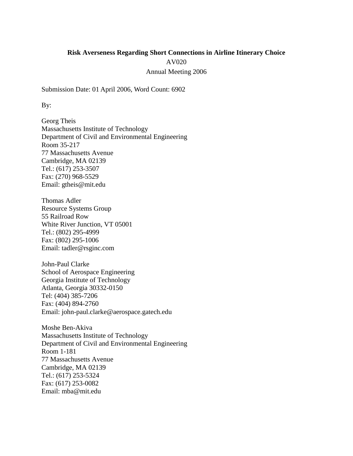# **Risk Averseness Regarding Short Connections in Airline Itinerary Choice** AV020 Annual Meeting 2006

Submission Date: 01 April 2006, Word Count: 6902

By:

Georg Theis Massachusetts Institute of Technology Department of Civil and Environmental Engineering Room 35-217 77 Massachusetts Avenue Cambridge, MA 02139 Tel.: (617) 253-3507 Fax: (270) 968-5529 Email: [gtheis@mit.edu](mailto:gtheis@mit.edu)

Thomas Adler Resource Systems Group 55 Railroad Row White River Junction, VT 05001 Tel.: (802) 295-4999 Fax: (802) 295-1006 Email: [tadler@rsginc.com](mailto:tadler@rsginc.com)

John-Paul Clarke School of Aerospace Engineering Georgia Institute of Technology Atlanta, Georgia 30332-0150 Tel: (404) 385-7206 Fax: (404) 894-2760 Email: john-paul.clarke@aerospace.gatech.edu

Moshe Ben-Akiva Massachusetts Institute of Technology Department of Civil and Environmental Engineering Room 1-181 77 Massachusetts Avenue Cambridge, MA 02139 Tel.: (617) 253-5324 Fax: (617) 253-0082 Email: [mba@mit.edu](mailto:mba@mit.edu)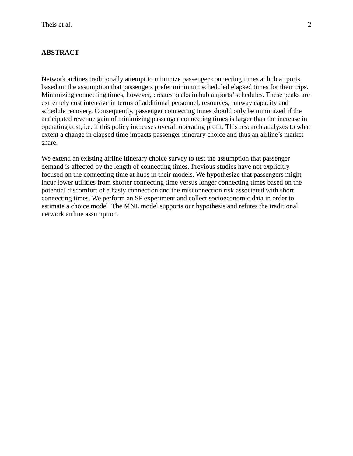# **ABSTRACT**

Network airlines traditionally attempt to minimize passenger connecting times at hub airports based on the assumption that passengers prefer minimum scheduled elapsed times for their trips. Minimizing connecting times, however, creates peaks in hub airports'schedules. These peaks are extremely cost intensive in terms of additional personnel, resources, runway capacity and schedule recovery. Consequently, passenger connecting times should only be minimized if the anticipated revenue gain of minimizing passenger connecting times is larger than the increase in operating cost, i.e. if this policy increases overall operating profit. This research analyzes to what extent a change in elapsed time impacts passenger itinerary choice and thus an airline's market share.

We extend an existing airline itinerary choice survey to test the assumption that passenger demand is affected by the length of connecting times. Previous studies have not explicitly focused on the connecting time at hubs in their models. We hypothesize that passengers might incur lower utilities from shorter connecting time versus longer connecting times based on the potential discomfort of a hasty connection and the misconnection risk associated with short connecting times. We perform an SP experiment and collect socioeconomic data in order to estimate a choice model. The MNL model supports our hypothesis and refutes the traditional network airline assumption.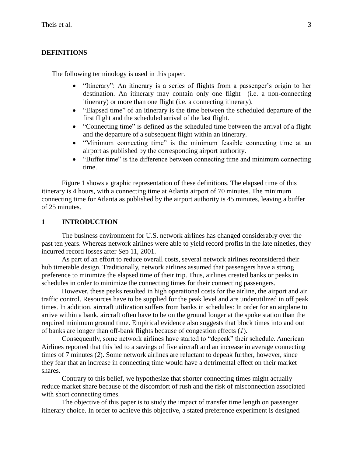#### **DEFINITIONS**

The following terminology is used in this paper.

- "Itinerary": An itinerary is a series of flights from a passenger's origin to her destination. An itinerary may contain only one flight (i.e. a non-connecting itinerary) or more than one flight (i.e. a connecting itinerary).
- "Elapsed time" of an itinerary is the time between the scheduled departure of the first flight and the scheduled arrival of the last flight.
- "Connecting time" is defined as the scheduled time between the arrival of a flight and the departure of a subsequent flight within an itinerary.
- "Minimum connecting time" is the minimum feasible connecting time at an airport as published by the corresponding airport authority.
- "Buffer time" is the difference between connecting time and minimum connecting time.

Figure 1 shows a graphic representation of these definitions. The elapsed time of this itinerary is 4 hours, with a connecting time at Atlanta airport of 70 minutes. The minimum connecting time for Atlanta as published by the airport authority is 45 minutes, leaving a buffer of 25 minutes.

## **1 INTRODUCTION**

The business environment for U.S. network airlines has changed considerably over the past ten years. Whereas network airlines were able to yield record profits in the late nineties, they incurred record losses after Sep 11, 2001.

As part of an effort to reduce overall costs, several network airlines reconsidered their hub timetable design. Traditionally, network airlines assumed that passengers have a strong preference to minimize the elapsed time of their trip. Thus, airlines created banks or peaks in schedules in order to minimize the connecting times for their connecting passengers.

However, these peaks resulted in high operational costs for the airline, the airport and air traffic control. Resources have to be supplied for the peak level and are underutilized in off peak times. In addition, aircraft utilization suffers from banks in schedules: In order for an airplane to arrive within a bank, aircraft often have to be on the ground longer at the spoke station than the required minimum ground time. Empirical evidence also suggests that block times into and out of banks are longer than off-bank flights because of congestion effects (*1*).

Consequently, some network airlines have started to "depeak" their schedule. American Airlines reported that this led to a savings of five aircraft and an increase in average connecting times of 7 minutes (*2*). Some network airlines are reluctant to depeak further, however, since they fear that an increase in connecting time would have a detrimental effect on their market shares.

Contrary to this belief, we hypothesize that shorter connecting times might actually reduce market share because of the discomfort of rush and the risk of misconnection associated with short connecting times.

The objective of this paper is to study the impact of transfer time length on passenger itinerary choice. In order to achieve this objective, a stated preference experiment is designed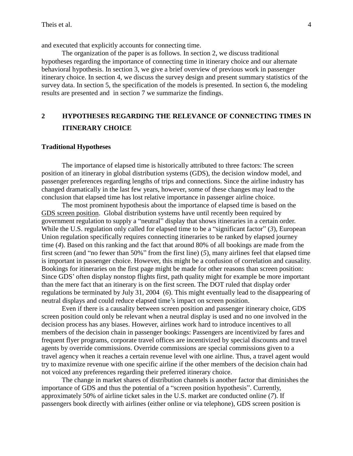and executed that explicitly accounts for connecting time.

The organization of the paper is as follows. In section 2, we discuss traditional hypotheses regarding the importance of connecting time in itinerary choice and our alternate behavioral hypothesis. In section 3, we give a brief overview of previous work in passenger itinerary choice. In section 4, we discuss the survey design and present summary statistics of the survey data. In section 5, the specification of the models is presented. In section 6, the modeling results are presented and in section 7 we summarize the findings.

# **2 HYPOTHESES REGARDING THE RELEVANCE OF CONNECTING TIMES IN ITINERARY CHOICE**

#### **Traditional Hypotheses**

The importance of elapsed time is historically attributed to three factors: The screen position of an itinerary in global distribution systems (GDS), the decision window model, and passenger preferences regarding lengths of trips and connections. Since the airline industry has changed dramatically in the last few years, however, some of these changes may lead to the conclusion that elapsed time has lost relative importance in passenger airline choice.

The most prominent hypothesis about the importance of elapsed time is based on the GDS screen position. Global distribution systems have until recently been required by government regulation to supply a "neutral" display that shows itineraries in a certain order. While the U.S. regulation only called for elapsed time to be a "significant factor" (*3*), European Union regulation specifically requires connecting itineraries to be ranked by elapsed journey time (*4*). Based on this ranking and the fact that around 80% of all bookings are made from the first screen (and "no fewer than 50%" from the first line) (*5*), many airlines feel that elapsed time is important in passenger choice. However, this might be a confusion of correlation and causality. Bookings for itineraries on the first page might be made for other reasons than screen position: Since GDS' often display nonstop flights first, path quality might for example be more important than the mere fact that an itinerary is on the first screen. The DOT ruled that display order regulations be terminated by July 31, 2004 (*6*). This might eventually lead to the disappearing of neutral displays and could reduce elapsed time's impact on screen position.

Even if there is a causality between screen position and passenger itinerary choice, GDS screen position could only be relevant when a neutral display is used and no one involved in the decision process has any biases. However, airlines work hard to introduce incentives to all members of the decision chain in passenger bookings: Passengers are incentivized by fares and frequent flyer programs, corporate travel offices are incentivized by special discounts and travel agents by override commissions. Override commissions are special commissions given to a travel agency when it reaches a certain revenue level with one airline. Thus, a travel agent would try to maximize revenue with one specific airline if the other members of the decision chain had not voiced any preferences regarding their preferred itinerary choice.

The change in market shares of distribution channels is another factor that diminishes the importance of GDS and thus the potential of a "screen position hypothesis". Currently, approximately 50% of airline ticket sales in the U.S. market are conducted online (*7*). If passengers book directly with airlines (either online or via telephone), GDS screen position is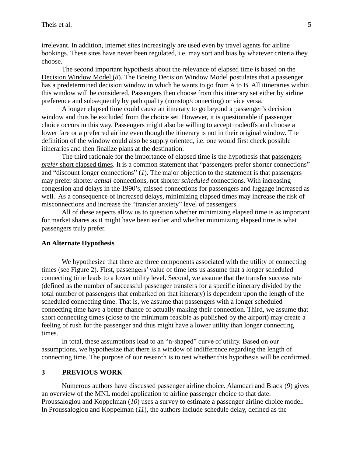irrelevant. In addition, internet sites increasingly are used even by travel agents for airline bookings. These sites have never been regulated, i.e. may sort and bias by whatever criteria they choose.

The second important hypothesis about the relevance of elapsed time is based on the Decision Window Model (*8*). The Boeing Decision Window Model postulates that a passenger has a predetermined decision window in which he wants to go from A to B. All itineraries within this window will be considered. Passengers then choose from this itinerary set either by airline preference and subsequently by path quality (nonstop/connecting) or vice versa.

A longer elapsed time could cause an itinerary to go beyond a passenger's decision window and thus be excluded from the choice set. However, it is questionable if passenger choice occurs in this way. Passengers might also be willing to accept tradeoffs and choose a lower fare or a preferred airline even though the itinerary is not in their original window. The definition of the window could also be supply oriented, i.e. one would first check possible itineraries and then finalize plans at the destination.

The third rationale for the importance of elapsed time is the hypothesis that passengers *prefer* short elapsed times. It is a common statement that "passengers prefer shorter connections" and "discount longer connections" (*1*). The major objection to the statement is that passengers may prefer shorter *actual* connections, not shorter *scheduled* connections. With increasing congestion and delays in the 1990's, missed connections for passengers and luggage increased as well. As a consequence of increased delays, minimizing elapsed times may increase the risk of misconnections and increase the "transfer anxiety" level of passengers.

All of these aspects allow us to question whether minimizing elapsed time is as important for market shares as it might have been earlier and whether minimizing elapsed time is what passengers truly prefer.

#### **An Alternate Hypothesis**

We hypothesize that there are three components associated with the utility of connecting times (see Figure 2). First, passengers' value of time lets us assume that a longer scheduled connecting time leads to a lower utility level. Second, we assume that the transfer success rate (defined as the number of successful passenger transfers for a specific itinerary divided by the total number of passengers that embarked on that itinerary) is dependent upon the length of the scheduled connecting time. That is, we assume that passengers with a longer scheduled connecting time have a better chance of actually making their connection. Third, we assume that short connecting times (close to the minimum feasible as published by the airport) may create a feeling of rush for the passenger and thus might have a lower utility than longer connecting times.

In total, these assumptions lead to an "n-shaped" curve of utility. Based on our assumptions, we hypothesize that there is a window of indifference regarding the length of connecting time. The purpose of our research is to test whether this hypothesis will be confirmed.

#### **3 PREVIOUS WORK**

Numerous authors have discussed passenger airline choice. Alamdari and Black (*9*) gives an overview of the MNL model application to airline passenger choice to that date. Proussaloglou and Koppelman (*10*) uses a survey to estimate a passenger airline choice model. In Proussaloglou and Koppelman (*11*), the authors include schedule delay, defined as the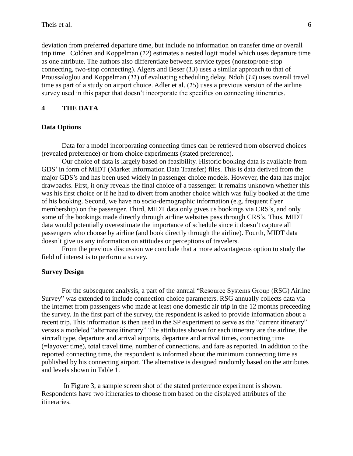deviation from preferred departure time, but include no information on transfer time or overall trip time. Coldren and Koppelman (*12*) estimates a nested logit model which uses departure time as one attribute. The authors also differentiate between service types (nonstop/one-stop connecting, two-stop connecting). Algers and Beser (*13*) uses a similar approach to that of Proussaloglou and Koppelman (*11*) of evaluating scheduling delay. Ndoh (*14*) uses overall travel time as part of a study on airport choice. Adler et al. (*15*) uses a previous version of the airline survey used in this paper that doesn't incorporate the specifics on connecting itineraries.

### **4 THE DATA**

### **Data Options**

Data for a model incorporating connecting times can be retrieved from observed choices (revealed preference) or from choice experiments (stated preference).

Our choice of data is largely based on feasibility. Historic booking data is available from GDS' in form of MIDT (Market Information Data Transfer) files. This is data derived from the major GDS's and has been used widely in passenger choice models. However, the data has major drawbacks. First, it only reveals the final choice of a passenger. It remains unknown whether this was his first choice or if he had to divert from another choice which was fully booked at the time of his booking. Second, we have no socio-demographic information (e.g. frequent flyer membership) on the passenger. Third, MIDT data only gives us bookings via CRS's, and only some of the bookings made directly through airline websites pass through CRS's. Thus, MIDT data would potentially overestimate the importance of schedule since it doesn't capture all passengers who choose by airline (and book directly through the airline). Fourth, MIDT data doesn't give us any information on attitudes or perceptions of travelers.

From the previous discussion we conclude that a more advantageous option to study the field of interest is to perform a survey.

#### **Survey Design**

For the subsequent analysis, a part of the annual "Resource Systems Group (RSG) Airline Survey" was extended to include connection choice parameters. RSG annually collects data via the Internet from passengers who made at least one domestic air trip in the 12 months preceeding the survey. In the first part of the survey, the respondent is asked to provide information about a recent trip. This information is then used in the SP experiment to serve as the "current itinerary" versus a modeled "alternate itinerary".The attributes shown for each itinerary are the airline, the aircraft type, departure and arrival airports, departure and arrival times, connecting time (=layover time), total travel time, number of connections, and fare as reported. In addition to the reported connecting time, the respondent is informed about the minimum connecting time as published by his connecting airport. The alternative is designed randomly based on the attributes and levels shown in Table 1.

In Figure 3, a sample screen shot of the stated preference experiment is shown. Respondents have two itineraries to choose from based on the displayed attributes of the itineraries.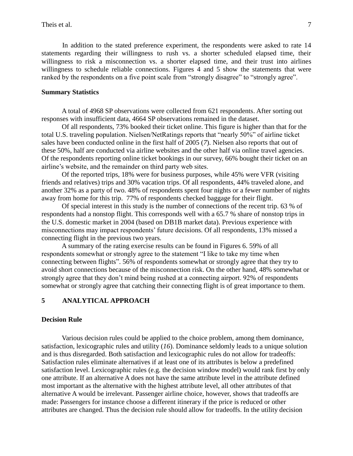In addition to the stated preference experiment, the respondents were asked to rate 14 statements regarding their willingness to rush vs. a shorter scheduled elapsed time, their willingness to risk a misconnection vs. a shorter elapsed time, and their trust into airlines willingness to schedule reliable connections. Figures 4 and 5 show the statements that were ranked by the respondents on a five point scale from "strongly disagree" to "strongly agree".

#### **Summary Statistics**

A total of 4968 SP observations were collected from 621 respondents. After sorting out responses with insufficient data, 4664 SP observations remained in the dataset.

Of all respondents, 73% booked their ticket online. This figure is higher than that for the total U.S. traveling population. Nielsen/NetRatings reports that "nearly 50%" of airline ticket sales have been conducted online in the first half of 2005 (*7*). Nielsen also reports that out of these 50%, half are conducted via airline websites and the other half via online travel agencies. Of the respondents reporting online ticket bookings in our survey, 66% bought their ticket on an airline's website, and the remainder on third party web sites.

Of the reported trips, 18% were for business purposes, while 45% were VFR (visiting friends and relatives) trips and 30% vacation trips. Of all respondents, 44% traveled alone, and another 32% as a party of two. 48% of respondents spent four nights or a fewer number of nights away from home for this trip. 77% of respondents checked baggage for their flight.

Of special interest in this study is the number of connections of the recent trip. 63 % of respondents had a nonstop flight. This corresponds well with a 65.7 % share of nonstop trips in the U.S. domestic market in 2004 (based on DB1B market data). Previous experience with misconnections may impact respondents' future decisions. Of all respondents, 13% missed a connecting flight in the previous two years.

A summary of the rating exercise results can be found in Figures 6. 59% of all respondents somewhat or strongly agree to the statement "I like to take my time when connecting between flights". 56% of respondents somewhat or strongly agree that they try to avoid short connections because of the misconnection risk. On the other hand, 48% somewhat or strongly agree that they don't mind being rushed at a connecting airport. 92% of respondents somewhat or strongly agree that catching their connecting flight is of great importance to them.

# **5 ANALYTICAL APPROACH**

#### **Decision Rule**

Various decision rules could be applied to the choice problem, among them dominance, satisfaction, lexicographic rules and utility (*16*). Dominance seldomly leads to a unique solution and is thus disregarded. Both satisfaction and lexicographic rules do not allow for tradeoffs: Satisfaction rules eliminate alternatives if at least one of its attributes is below a predefined satisfaction level. Lexicographic rules (e.g. the decision window model) would rank first by only one attribute. If an alternative A does not have the same attribute level in the attribute defined most important as the alternative with the highest attribute level, all other attributes of that alternative A would be irrelevant. Passenger airline choice, however, shows that tradeoffs are made: Passengers for instance choose a different itinerary if the price is reduced or other attributes are changed. Thus the decision rule should allow for tradeoffs. In the utility decision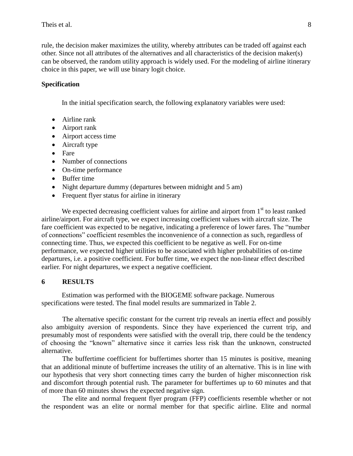rule, the decision maker maximizes the utility, whereby attributes can be traded off against each other. Since not all attributes of the alternatives and all characteristics of the decision maker(s) can be observed, the random utility approach is widely used. For the modeling of airline itinerary choice in this paper, we will use binary logit choice.

### **Specification**

In the initial specification search, the following explanatory variables were used:

- Airline rank
- Airport rank
- Airport access time
- Aircraft type
- Fare
- Number of connections
- On-time performance
- Buffer time
- Night departure dummy (departures between midnight and 5 am)
- Frequent flyer status for airline in itinerary

We expected decreasing coefficient values for airline and airport from  $1<sup>st</sup>$  to least ranked airline/airport. For aircraft type, we expect increasing coefficient values with aircraft size. The fare coefficient was expected to be negative, indicating a preference of lower fares. The "number of connections" coefficient resembles the inconvenience of a connection as such, regardless of connecting time. Thus, we expected this coefficient to be negative as well. For on-time performance, we expected higher utilities to be associated with higher probabilities of on-time departures, i.e. a positive coefficient. For buffer time, we expect the non-linear effect described earlier. For night departures, we expect a negative coefficient.

#### **6 RESULTS**

Estimation was performed with the BIOGEME software package. Numerous specifications were tested. The final model results are summarized in Table 2.

The alternative specific constant for the current trip reveals an inertia effect and possibly also ambiguity aversion of respondents. Since they have experienced the current trip, and presumably most of respondents were satisfied with the overall trip, there could be the tendency of choosing the "known" alternative since it carries less risk than the unknown, constructed alternative.

The buffertime coefficient for buffertimes shorter than 15 minutes is positive, meaning that an additional minute of buffertime increases the utility of an alternative. This is in line with our hypothesis that very short connecting times carry the burden of higher misconnection risk and discomfort through potential rush. The parameter for buffertimes up to 60 minutes and that of more than 60 minutes shows the expected negative sign.

The elite and normal frequent flyer program (FFP) coefficients resemble whether or not the respondent was an elite or normal member for that specific airline. Elite and normal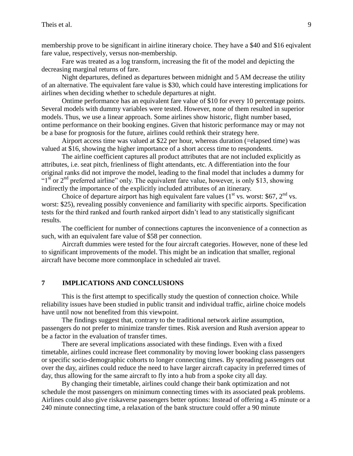membership prove to be significant in airline itinerary choice. They have a \$40 and \$16 eqivalent fare value, respectively, versus non-membership.

Fare was treated as a log transform, increasing the fit of the model and depicting the decreasing marginal returns of fare.

Night departures, defined as departures between midnight and 5 AM decrease the utility of an alternative. The equivalent fare value is \$30, which could have interesting implications for airlines when deciding whether to schedule departures at night.

Ontime performance has an equivalent fare value of \$10 for every 10 percentage points. Several models with dummy variables were tested. However, none of them resulted in superior models. Thus, we use a linear approach. Some airlines show historic, flight number based, ontime performance on their booking engines. Given that historic performance may or may not be a base for prognosis for the future, airlines could rethink their strategy here.

Airport access time was valued at \$22 per hour, whereas duration (=elapsed time) was valued at \$16, showing the higher importance of a short access time to respondents.

The airline coefficient captures all product attributes that are not included explicitly as attributes, i.e. seat pitch, frienliness of flight attendants, etc. A differentiation into the four original ranks did not improve the model, leading to the final model that includes a dummy for " $1<sup>st</sup>$  or  $2<sup>nd</sup>$  preferred airline" only. The equivalent fare value, however, is only \$13, showing indirectly the importance of the explicitly included attributes of an itinerary.

Choice of departure airport has high equivalent fare values  $(1<sup>st</sup>$  vs. worst: \$67,  $2<sup>nd</sup>$  vs. worst: \$25), revealing possibly convenience and familiarity with specific airports. Specification tests for the third ranked and fourth ranked airport didn't lead to any statistically significant results.

The coefficient for number of connections captures the inconvenience of a connection as such, with an equivalent fare value of \$58 per connection.

Aircraft dummies were tested for the four aircraft categories. However, none of these led to significant improvements of the model. This might be an indication that smaller, regional aircraft have become more commonplace in scheduled air travel.

### **7 IMPLICATIONS AND CONCLUSIONS**

This is the first attempt to specifically study the question of connection choice. While reliability issues have been studied in public transit and individual traffic, airline choice models have until now not benefited from this viewpoint.

The findings suggest that, contrary to the traditional network airline assumption, passengers do not prefer to minimize transfer times. Risk aversion and Rush aversion appear to be a factor in the evaluation of transfer times.

There are several implications associated with these findings. Even with a fixed timetable, airlines could increase fleet commonality by moving lower booking class passengers or specific socio-demographic cohorts to longer connecting times. By spreading passengers out over the day, airlines could reduce the need to have larger aircraft capacity in preferred times of day, thus allowing for the same aircraft to fly into a hub from a spoke city all day.

By changing their timetable, airlines could change their bank optimization and not schedule the most passengers on minimum connecting times with its associated peak problems. Airlines could also give riskaverse passengers better options: Instead of offering a 45 minute or a 240 minute connecting time, a relaxation of the bank structure could offer a 90 minute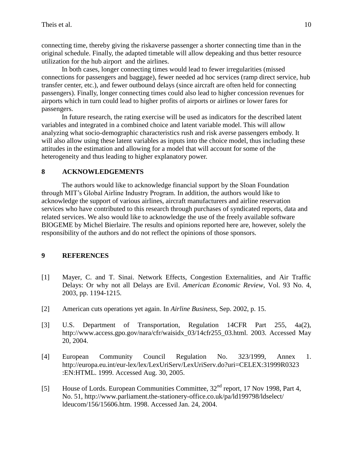connecting time, thereby giving the riskaverse passenger a shorter connecting time than in the original schedule. Finally, the adapted timetable will allow depeaking and thus better resource utilization for the hub airport and the airlines.

In both cases, longer connecting times would lead to fewer irregularities (missed connections for passengers and baggage), fewer needed ad hoc services (ramp direct service, hub transfer center, etc.), and fewer outbound delays (since aircraft are often held for connecting passengers). Finally, longer connecting times could also lead to higher concession revenues for airports which in turn could lead to higher profits of airports or airlines or lower fares for passengers.

In future research, the rating exercise will be used as indicators for the described latent variables and integrated in a combined choice and latent variable model. This will allow analyzing what socio-demographic characteristics rush and risk averse passengers embody. It will also allow using these latent variables as inputs into the choice model, thus including these attitudes in the estimation and allowing for a model that will account for some of the heterogeneity and thus leading to higher explanatory power.

# **8 ACKNOWLEDGEMENTS**

The authors would like to acknowledge financial support by the Sloan Foundation through MIT's Global Airline Industry Program. In addition, the authors would like to acknowledge the support of various airlines, aircraft manufacturers and airline reservation services who have contributed to this research through purchases of syndicated reports, data and related services. We also would like to acknowledge the use of the freely available software BIOGEME by Michel Bierlaire. The results and opinions reported here are, however, solely the responsibility of the authors and do not reflect the opinions of those sponsors.

# **9 REFERENCES**

- [1] Mayer, C. and T. Sinai. Network Effects, Congestion Externalities, and Air Traffic Delays: Or why not all Delays are Evil. *American Economic Review*, Vol. 93 No. 4, 2003, pp. 1194-1215.
- [2] American cuts operations yet again. In *Airline Business*, Sep. 2002, p. 15.
- [3] U.S. Department of Transportation, Regulation 14CFR Part 255, 4a(2), http://www.access.gpo.gov/nara/cfr/waisidx 03/14cfr255 03.html. 2003. Accessed May 20, 2004.
- [4] European Community Council Regulation No. 323/1999, Annex 1. http://europa.eu.int/eur-lex/lex/LexUriServ/LexUriServ.do?uri=CELEX:31999R0323 :EN:HTML. 1999. Accessed Aug. 30, 2005.
- [5] House of Lords. European Communities Committee,  $32<sup>nd</sup>$  report, 17 Nov 1998, Part 4, No. 51, http://www.parliament.the-stationery-office.co.uk/pa/ld199798/ldselect/ ldeucom/156/15606.htm. 1998. Accessed Jan. 24, 2004.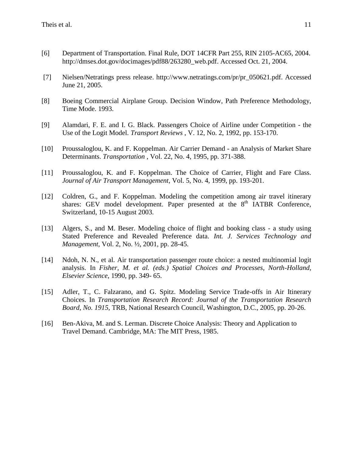- [6] Department of Transportation. Final Rule, DOT 14CFR Part 255, RIN 2105-AC65, 2004. http://dmses.dot.gov/docimages/pdf88/263280\_web.pdf. Accessed Oct. 21, 2004.
- [7] Nielsen/Netratings press release. [http://www.netratings.com/pr/pr\\_050621.pdf.](https://webmail.mit.edu/horde/services/go.php?url=http%3A%2F%2Fwww.netratings.com%2Fpr%2Fpr_050621.pdf) Accessed June 21, 2005.
- [8] Boeing Commercial Airplane Group. Decision Window, Path Preference Methodology, Time Mode. 1993.
- [9] Alamdari, F. E. and I. G. Black. Passengers Choice of Airline under Competition the Use of the Logit Model. *Transport Reviews* , V. 12, No. 2, 1992, pp. 153-170.
- [10] Proussaloglou, K. and F. Koppelman. Air Carrier Demand an Analysis of Market Share Determinants. *Transportation* , Vol. 22, No. 4, 1995, pp. 371-388.
- [11] Proussaloglou, K. and F. Koppelman. The Choice of Carrier, Flight and Fare Class. *Journal of Air Transport Management*, Vol. 5, No. 4, 1999, pp. 193-201.
- [12] Coldren, G., and F. Koppelman. Modeling the competition among air travel itinerary shares: GEV model development. Paper presented at the  $8<sup>th</sup>$  IATBR Conference, Switzerland, 10-15 August 2003.
- [13] Algers, S., and M. Beser. Modeling choice of flight and booking class a study using Stated Preference and Revealed Preference data. *Int. J. Services Technology and Management*, Vol. 2, No. ½, 2001, pp. 28-45.
- [14] Ndoh, N. N., et al. Air transportation passenger route choice: a nested multinomial logit analysis. In *Fisher, M. et al. (eds.) Spatial Choices and Processes, North-Holland, Elsevier Science*, 1990, pp. 349- 65.
- [15] Adler, T., C. Falzarano, and G. Spitz. Modeling Service Trade-offs in Air Itinerary Choices. In *Transportation Research Record: Journal of the Transportation Research Board, No. 1915*, TRB, National Research Council, Washington, D.C., 2005, pp. 20-26.
- [16] Ben-Akiva, M. and S. Lerman. Discrete Choice Analysis: Theory and Application to Travel Demand. Cambridge, MA: The MIT Press, 1985.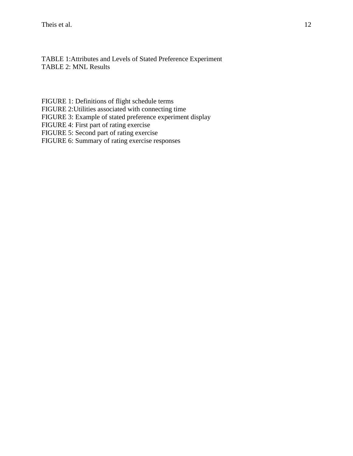TABLE 1:Attributes and Levels of Stated Preference Experiment TABLE 2: MNL Results

[FIGURE 1: Definitions of flight schedule terms](#page-12-0)

[FIGURE 2:Utilities associated with connecting time](#page-13-0)

FIGURE [3: Example of stated preference experiment display](#page-15-0)

FIGURE [4: First part of rating exercise](#page-16-0)

FIGURE [5: Second part of rating exercise](#page-17-0)

FIGURE [6: Summary of rating exercise responses](#page-18-0)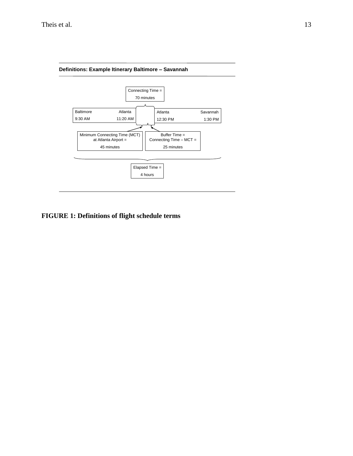

# <span id="page-12-0"></span>**FIGURE 1: Definitions of flight schedule terms**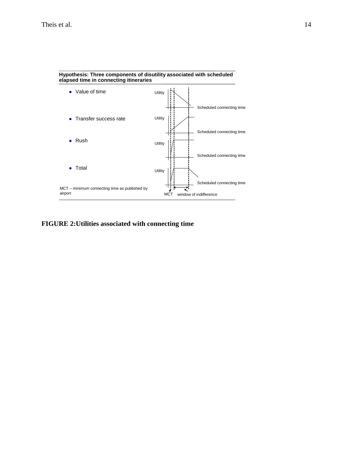

#### **Hypothesis: Three components of disutility associated with scheduled elapsed time in connecting itineraries**

# <span id="page-13-0"></span>**FIGURE 2:Utilities associated with connecting time**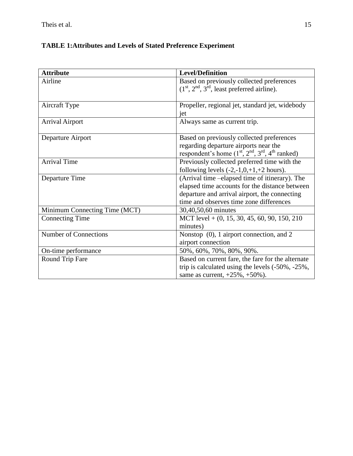# **TABLE 1:Attributes and Levels of Stated Preference Experiment**

| <b>Attribute</b>              | <b>Level/Definition</b>                           |
|-------------------------------|---------------------------------------------------|
| Airline                       | Based on previously collected preferences         |
|                               | $(1st, 2nd, 3rd)$ , least preferred airline).     |
|                               |                                                   |
| Aircraft Type                 | Propeller, regional jet, standard jet, widebody   |
|                               | jet                                               |
| <b>Arrival Airport</b>        | Always same as current trip.                      |
|                               |                                                   |
| Departure Airport             | Based on previously collected preferences         |
|                               | regarding departure airports near the             |
|                               | respondent's home $(1st, 2nd, 3rd, 4th ranked)$   |
| <b>Arrival Time</b>           | Previously collected preferred time with the      |
|                               | following levels $(-2,-1,0,+1,+2$ hours).         |
| Departure Time                | (Arrival time -elapsed time of itinerary). The    |
|                               | elapsed time accounts for the distance between    |
|                               | departure and arrival airport, the connecting     |
|                               | time and observes time zone differences           |
| Minimum Connecting Time (MCT) | 30,40,50,60 minutes                               |
| <b>Connecting Time</b>        | MCT level $+$ (0, 15, 30, 45, 60, 90, 150, 210)   |
|                               | minutes)                                          |
| <b>Number of Connections</b>  | Nonstop (0), 1 airport connection, and 2          |
|                               | airport connection                                |
| On-time performance           | 50%, 60%, 70%, 80%, 90%.                          |
| <b>Round Trip Fare</b>        | Based on current fare, the fare for the alternate |
|                               | trip is calculated using the levels (-50%, -25%,  |
|                               | same as current, $+25\%$ , $+50\%$ ).             |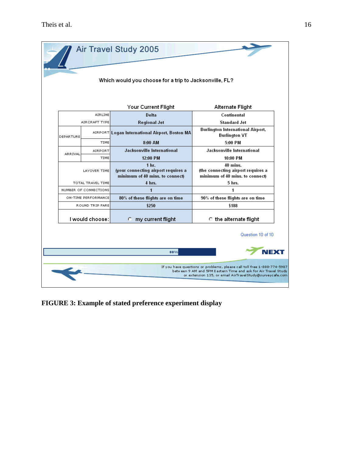|           |                             | Which would you choose for a trip to Jacksonville, FL?<br>Your Current Flight              | Alternate Flight                                                                        |  |  |
|-----------|-----------------------------|--------------------------------------------------------------------------------------------|-----------------------------------------------------------------------------------------|--|--|
|           | AIRLINE                     | Delta                                                                                      | Continental                                                                             |  |  |
| DEPARTURE | AIRCRAFT TYPE               | <b>Regional Jet</b><br>AIRPORT Logan International Airport, Boston MA                      | <b>Standard Jet</b><br><b>Burlington International Airport,</b><br><b>Burlington VT</b> |  |  |
|           | TIME                        | 8:00 AM                                                                                    | 5:00 PM                                                                                 |  |  |
|           | <b>AIRPORT</b>              | Jacksonville International                                                                 | Jacksonville International                                                              |  |  |
| ARRIVAL   | TIME                        | 12:00 PM                                                                                   | 10:00 PM                                                                                |  |  |
|           | LAYOVER TIME                | 1 <sub>hr.</sub><br>(your connecting airport requires a<br>minimum of 40 mins. to connect) | 40 mins.<br>(the connecting airport requires a<br>minimum of 40 mins, to connect)       |  |  |
|           | 4 hrs.<br>TOTAL TRAVEL TIME |                                                                                            | 5 hrs.                                                                                  |  |  |
|           | NUMBER OF CONNECTIONS       | 1<br>1                                                                                     |                                                                                         |  |  |
|           | ON-TIME PERFORMANCE         | 80% of these flights are on time                                                           | 90% of these flights are on time                                                        |  |  |
|           | ROUND TRIP FARE             | \$250                                                                                      | \$188                                                                                   |  |  |
|           | I would choose:             | my current flight<br>c                                                                     | ○ the alternate flight                                                                  |  |  |
|           |                             | 80%                                                                                        | Question 10 of 10<br><b>NFXT</b>                                                        |  |  |

<span id="page-15-0"></span>**FIGURE 3: Example of stated preference experiment display**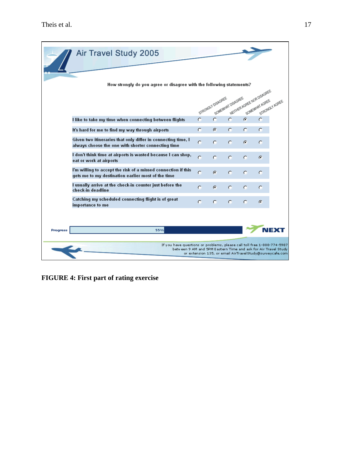|                 | Air Travel Study 2005                                                                                                                      |           |                   |                   |               |                            |                                                          |
|-----------------|--------------------------------------------------------------------------------------------------------------------------------------------|-----------|-------------------|-------------------|---------------|----------------------------|----------------------------------------------------------|
|                 | How strongly do you agree or disagree with the following statements?                                                                       |           | STRONGLY DISAGREE | SOMEWHAT DISAGREE |               | MEITHER AGREE NOR DISAGREE | STRONGLY AGREE                                           |
|                 | I like to take my time when connecting between flights                                                                                     | O         | Ö.                | $\circ$           | $\sigma$      | O                          |                                                          |
|                 | It's hard for me to find my way through airports                                                                                           | o         | G.                | O.                | $\mathcal{O}$ | O                          |                                                          |
|                 | Given two itineraries that only differ in connecting time, I<br>always choose the one with shorter connecting time                         | $\bigcap$ | O                 | O.                | G             | о                          |                                                          |
|                 | I don't think time at airports is wasted because I can shop,<br>eat or work at airports                                                    | O         | O                 | C.                | o             | c                          |                                                          |
|                 | I'm willing to accept the risk of a missed connection if this<br>gets me to my destination earlier most of the time                        | $\Omega$  | G                 | O.                | O.            | O                          |                                                          |
|                 | I usually arrive at the check-in counter just before the<br>check-in deadline                                                              | о         | G                 | O                 | o             | O                          |                                                          |
|                 | Catching my scheduled connecting flight is of great<br>importance to me                                                                    | O.        | o                 | O.                | C.            | G                          |                                                          |
| <b>Progress</b> | 55%                                                                                                                                        |           |                   |                   |               |                            | NEX                                                      |
|                 | If you have questions or problems, please call toll free 1-888-774-5987<br>betwieen 9 AM and 5PM Eastern Time and ask for Air Travel Study |           |                   |                   |               |                            | or extension 135, or email AirTravelStudy@surveycafe.com |

<span id="page-16-0"></span>**FIGURE 4: First part of rating exercise**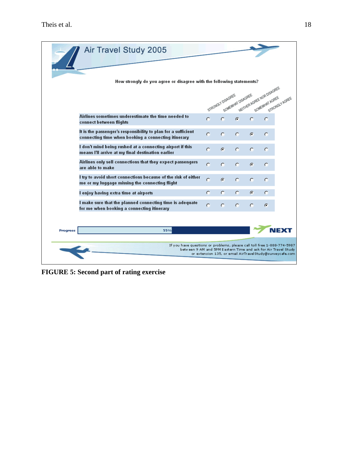<span id="page-17-0"></span>

**FIGURE 5: Second part of rating exercise**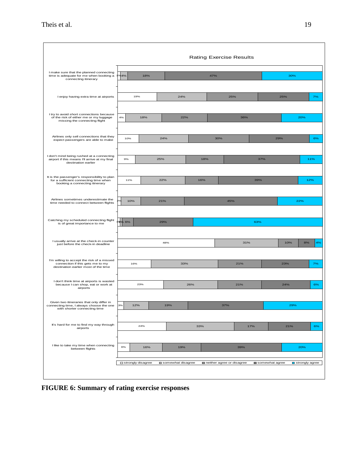| <b>Rating Exercise Results</b>                                                                                          |                     |                   |     |                           |                |                               |
|-------------------------------------------------------------------------------------------------------------------------|---------------------|-------------------|-----|---------------------------|----------------|-------------------------------|
| I make sure that the planned connecting<br>time is adequate for me when booking a<br>connecting itinerary               | 4%<br>18%           |                   | 47% |                           |                | 30%                           |
| I enjoy having extra time at airports                                                                                   | 19%                 | 24%               |     | 25%                       | 25%            | 7%                            |
| I try to avoid short connections because<br>of the risk of either me or my luggage<br>missing the connecting flight     | 4%<br>18%           | 22%               |     | 36%                       |                | 20%                           |
| Airlines only sell connections that they<br>expect passengers are able to make                                          | 10%                 | 24%               |     | 30%                       | 29%            | 6%                            |
| I don't mind being rushed at a connecting<br>airport if this means I'll arrive at my final<br>destination earlier       | 9%                  | 25%               | 18% |                           | 37%            | 11%                           |
| It is the passenger's responsibility to plan<br>for a sufficient connecting time when<br>booking a connecting itinerary | 11%                 | 22%               | 16% |                           | 39%            | 12%                           |
| Airlines sometimes underestimate the<br>time needed to connect between flights                                          | 10%                 | 21%               |     | 45%                       |                | 22%                           |
| Catching my scheduled connecting flight<br>is of great importance to me                                                 | 18% 6%              | 29%               |     |                           | 63%            |                               |
| I usually arrive at the check-in counter<br>just before the check-in deadline                                           |                     | 48%               |     | 31%                       | 10%            | 8%<br>4%                      |
| I'm willing to accept the risk of a missed<br>connection if this gets me to my<br>destination earlier most of the time  | 16%                 | 33%               |     | 21%                       | 23%            | 7%                            |
| I don't think time at airports is wasted<br>because I can shop, eat or work at<br>airports                              | 23%                 |                   | 26% | 21%                       | 24%            | 6%                            |
| Given two itineraries that only differ in<br>connecting time, I always choose the one<br>with shorter connecting time   | 3%<br>12%           | 19%               |     | 37%                       |                | 29%                           |
| It's hard for me to find my way through<br>airports                                                                     | 24%                 |                   | 33% | 17%                       | 21%            | 6%                            |
| I like to take my time when connecting<br>between flights                                                               | 6%<br>16%           | 19%               |     | 39%                       |                | 20%                           |
|                                                                                                                         | □ strongly disagree | somewhat disagree |     | neither agree or disagree | somewhat agree | $\blacksquare$ strongly agree |

<span id="page-18-0"></span>**FIGURE 6: Summary of rating exercise responses**